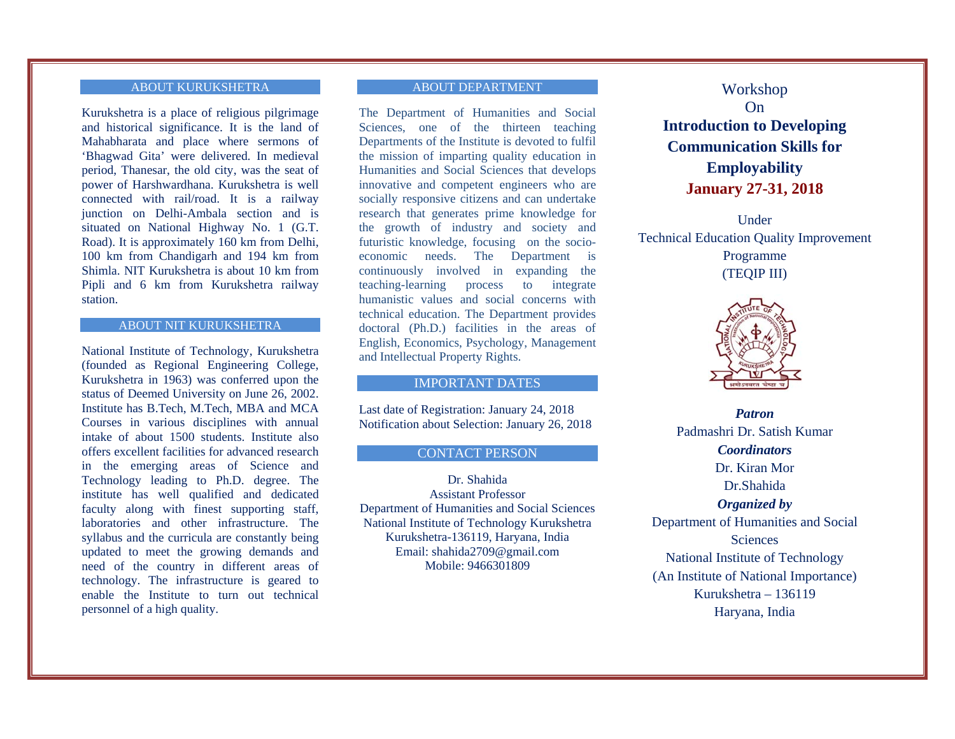### ABOUT KURUKSHETRA

Kurukshetra is a place of religious pilgrimage and historical significance. It is the land of Mahabharata and place where sermons of 'Bhagwad Gita' were delivered. In medieval period, Thanesar, the old city, was the seat of power of Harshwardhana. Kurukshetra is well connected with rail/road. It is a railway junction on Delhi-Ambala section and is situated on National Highway No. 1 (G.T. Road). It is approximately 160 km from Delhi, 100 km from Chandigarh and 194 km from Shimla. NIT Kurukshetra is about 10 km from Pipli and 6 km from Kurukshetra railway station.

#### ABOUT NIT KURUKSHETRA

National Institute of Technology, Kurukshetra (founded as Regional Engineering College, Kurukshetra in 1963) was conferred upon the status of Deemed University on June 26, 2002. Institute has B.Tech, M.Tech, MBA and MCA Courses in various disciplines with annual intake of about 1500 students. Institute also offers excellent facilities for advanced research in the emerging areas of Science and Technology leading to Ph.D. degree. The institute has well qualified and dedicated faculty along with finest supporting staff, laboratories and other infrastructure. The syllabus and the curricula are constantly being updated to meet the growing demands and need of the country in different areas of technology. The infrastructure is geared to enable the Institute to turn out technical personnel of a high quality.

## ABOUT DEPARTMENT

The Department of Humanities and Social Sciences, one of the thirteen teaching Departments of the Institute is devoted to fulfil the mission of imparting quality education in Humanities and Social Sciences that develops innovative and competent engineers who are socially responsive citizens and can undertake research that generates prime knowledge for the growth of industry and society and futuristic knowledge, focusing on the socioeconomic needs. The Department is continuously involved in expanding the teaching-learning process to integrate humanistic values and social concerns with technical education. The Department provides doctoral (Ph.D.) facilities in the areas of English, Economics, Psychology, Management and Intellectual Property Rights.

# IMPORTANT DATES

Last date of Registration: January 24, 2018 Notification about Selection: January 26, 2018

# CONTACT PERSON

Dr. Shahida Assistant Professor Department of Humanities and Social Sciences National Institute of Technology Kurukshetra Kurukshetra-136119, Haryana, India Email: shahida2709@gmail.com Mobile: 9466301809

Workshop On **Introduction to Developing Communication Skills for Employability January 27-31, 2018** 

Under Technical Education Quality Improvement Programme

(TEQIP III)



*Patron* Padmashri Dr. Satish Kumar *Coordinators* Dr. Kiran Mor Dr.Shahida *Organized by*  Department of Humanities and Social **Sciences** National Institute of Technology (An Institute of National Importance) Kurukshetra – 136119 Haryana, India